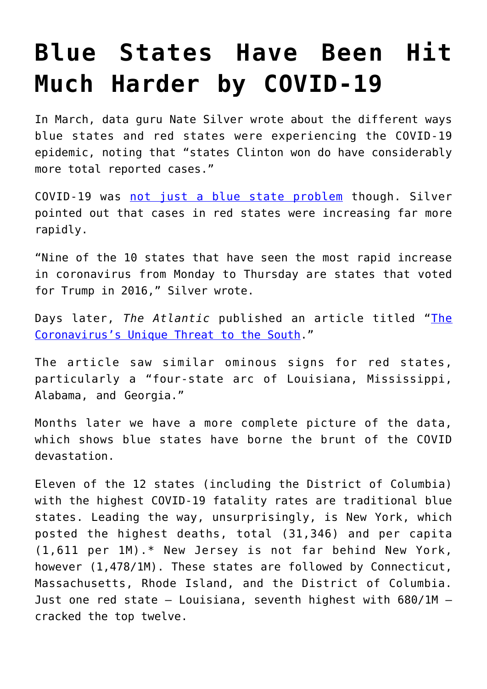## **[Blue States Have Been Hit](https://intellectualtakeout.org/2020/06/blue-states-have-been-hit-much-harder-by-covid-19/) [Much Harder by COVID-19](https://intellectualtakeout.org/2020/06/blue-states-have-been-hit-much-harder-by-covid-19/)**

In March, data guru Nate Silver wrote about the different ways blue states and red states were experiencing the COVID-19 epidemic, noting that "states Clinton won do have considerably more total reported cases."

COVID-19 was [not just a blue state problem](https://fivethirtyeight.com/features/the-coronavirus-isnt-just-a-blue-state-problem/) though. Silver pointed out that cases in red states were increasing far more rapidly.

"Nine of the 10 states that have seen the most rapid increase in coronavirus from Monday to Thursday are states that voted for Trump in 2016," Silver wrote.

Days later, *The Atlantic* published an article titled "[The](https://www.theatlantic.com/politics/archive/2020/04/coronavirus-unique-threat-south-young-people/609241/) [Coronavirus's Unique Threat to the South.](https://www.theatlantic.com/politics/archive/2020/04/coronavirus-unique-threat-south-young-people/609241/)"

The article saw similar ominous signs for red states, particularly a "four-state arc of Louisiana, Mississippi, Alabama, and Georgia."

Months later we have a more complete picture of the data, which shows blue states have borne the brunt of the COVID devastation.

Eleven of the 12 states (including the District of Columbia) with the highest COVID-19 fatality rates are traditional blue states. Leading the way, unsurprisingly, is New York, which posted the highest deaths, total (31,346) and per capita (1,611 per 1M).\* New Jersey is not far behind New York, however (1,478/1M). These states are followed by Connecticut, Massachusetts, Rhode Island, and the District of Columbia. Just one red state – Louisiana, seventh highest with 680/1M – cracked the top twelve.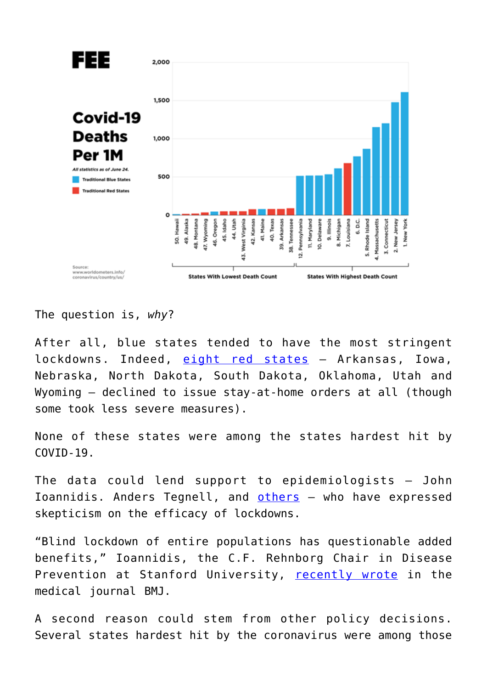

The question is, *why*?

After all, blue states tended to have the most stringent lockdowns. Indeed, [eight red states](https://www.latimes.com/politics/story/2020-04-22/states-without-coronavirus-stay-at-home-order) – Arkansas, Iowa, Nebraska, North Dakota, South Dakota, Oklahoma, Utah and Wyoming – declined to issue stay-at-home orders at all (though some took less severe measures).

None of these states were among the states hardest hit by  $COVID-19$ .

The data could lend support to epidemiologists – John Ioannidis. Anders Tegnell, and [others](https://www.youtube.com/watch?v=vrL9QKGQrWk) – who have expressed skepticism on the efficacy of lockdowns.

"Blind lockdown of entire populations has questionable added benefits," Ioannidis, the C.F. Rehnborg Chair in Disease Prevention at Stanford University, [recently wrote](https://fee.org/articles/world-leading-infectious-disease-expert-government-lockdowns-must-end/) in the medical journal BMJ.

A second reason could stem from other policy decisions. Several states hardest hit by the coronavirus were among those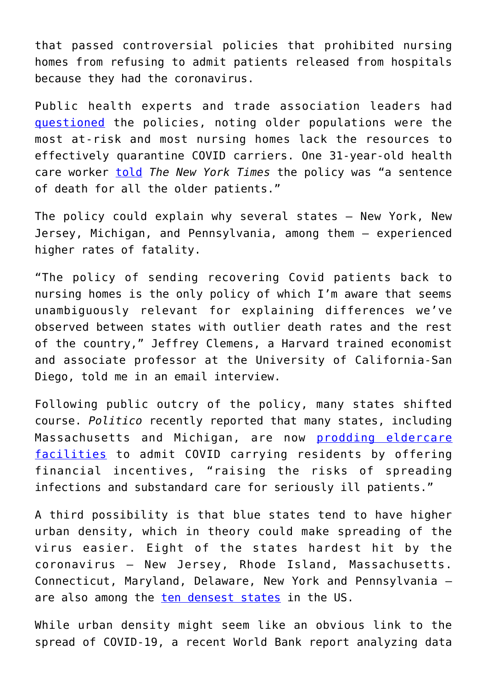that passed controversial policies that prohibited nursing homes from refusing to admit patients released from hospitals because they had the coronavirus.

Public health experts and trade association leaders had [questioned](https://fee.org/articles/how-states-turned-nursing-homes-into-slaughter-houses-by-forcing-them-to-admit-discharged-covid-19-patients/) the policies, noting older populations were the most at-risk and most nursing homes lack the resources to effectively quarantine COVID carriers. One 31-year-old health care worker [told](https://www.nytimes.com/2020/04/24/us/nursing-homes-coronavirus.html) *The New York Times* the policy was "a sentence of death for all the older patients."

The policy could explain why several states – New York, New Jersey, Michigan, and Pennsylvania, among them – experienced higher rates of fatality.

"The policy of sending recovering Covid patients back to nursing homes is the only policy of which I'm aware that seems unambiguously relevant for explaining differences we've observed between states with outlier death rates and the rest of the country," Jeffrey Clemens, a Harvard trained economist and associate professor at the University of California-San Diego, told me in an email interview.

Following public outcry of the policy, many states shifted course. *Politico* recently reported that many states, including Massachusetts and Michigan, are now [prodding eldercare](https://www.politico.com/news/2020/06/04/states-nursing-homes-coronavirus-302134) [facilities](https://www.politico.com/news/2020/06/04/states-nursing-homes-coronavirus-302134) to admit COVID carrying residents by offering financial incentives, "raising the risks of spreading infections and substandard care for seriously ill patients."

A third possibility is that blue states tend to have higher urban density, which in theory could make spreading of the virus easier. Eight of the states hardest hit by the coronavirus – New Jersey, Rhode Island, Massachusetts. Connecticut, Maryland, Delaware, New York and Pennsylvania – are also among the [ten densest states](https://simple.wikipedia.org/wiki/List_of_U.S._states_by_population_density) in the US.

While urban density might seem like an obvious link to the spread of COVID-19, a recent World Bank report analyzing data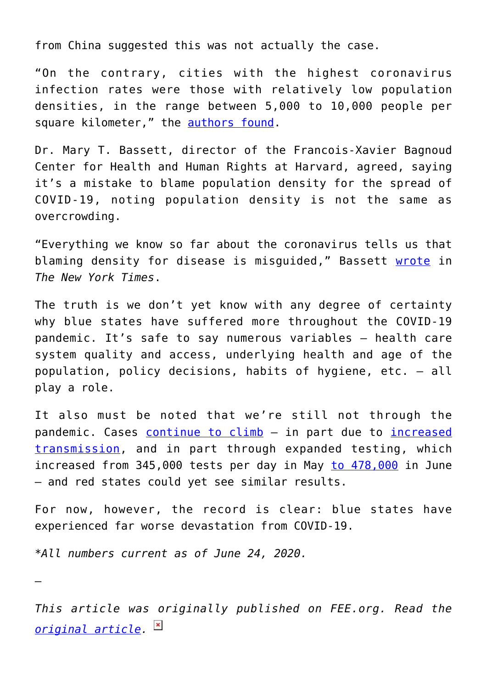from China suggested this was not actually the case.

"On the contrary, cities with the highest coronavirus infection rates were those with relatively low population densities, in the range between 5,000 to 10,000 people per square kilometer," the [authors found](https://blogs.worldbank.org/sustainablecities/urban-density-not-enemy-coronavirus-fight-evidence-china).

Dr. Mary T. Bassett, director of the Francois-Xavier Bagnoud Center for Health and Human Rights at Harvard, agreed, saying it's a mistake to blame population density for the spread of COVID-19, noting population density is not the same as overcrowding.

"Everything we know so far about the coronavirus tells us that blaming density for disease is misguided," Bassett [wrote](https://www.nytimes.com/2020/05/15/opinion/sunday/coronavirus-cities-density.html) in *The New York Times*.

The truth is we don't yet know with any degree of certainty why blue states have suffered more throughout the COVID-19 pandemic. It's safe to say numerous variables – health care system quality and access, underlying health and age of the population, policy decisions, habits of hygiene, etc. – all play a role.

It also must be noted that we're still not through the pandemic. Cases [continue to climb](https://www.cnbc.com/2020/06/24/us-hits-highest-single-day-of-coronavirus-cases-at-36358-breaking-april-record.html) - in part due to [increased](https://www.nytimes.com/2020/06/24/us/coronavirus-texas-abbott-masks.html) [transmission,](https://www.nytimes.com/2020/06/24/us/coronavirus-texas-abbott-masks.html) and in part through expanded testing, which increased from 345,000 tests per day in May [to 478,000](https://www.cnbc.com/2020/06/23/trump-blames-rise-in-coronavirus-cases-on-testing-despite-signs-of-spread.html) in June – and red states could yet see similar results.

For now, however, the record is clear: blue states have experienced far worse devastation from COVID-19.

*\*All numbers current as of June 24, 2020.*

—

*This article was originally published on FEE.org. Read the [original article.](https://fee.org/articles/blue-states-have-been-hit-much-harder-by-covid-19-why/)*